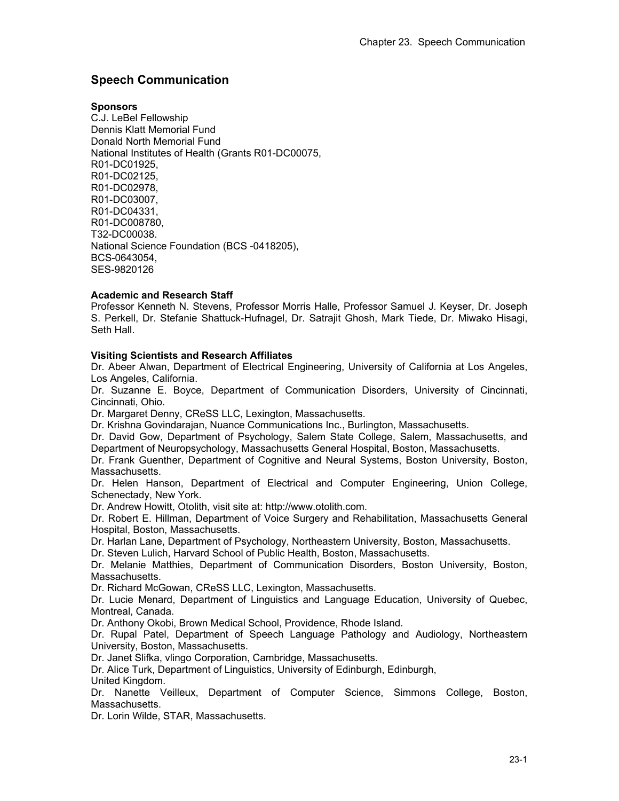# **Speech Communication**

#### **Sponsors**

C.J. LeBel Fellowship Dennis Klatt Memorial Fund Donald North Memorial Fund National Institutes of Health (Grants R01-DC00075, R01-DC01925, R01-DC02125, R01-DC02978, R01-DC03007, R01-DC04331, R01-DC008780, T32-DC00038. National Science Foundation (BCS -0418205), BCS-0643054, SES-9820126

## **Academic and Research Staff**

Professor Kenneth N. Stevens, Professor Morris Halle, Professor Samuel J. Keyser, Dr. Joseph S. Perkell, Dr. Stefanie Shattuck-Hufnagel, Dr. Satrajit Ghosh, Mark Tiede, Dr. Miwako Hisagi, Seth Hall.

### **Visiting Scientists and Research Affiliates**

Dr. Abeer Alwan, Department of Electrical Engineering, University of California at Los Angeles, Los Angeles, California.

Dr. Suzanne E. Boyce, Department of Communication Disorders, University of Cincinnati, Cincinnati, Ohio.

Dr. Margaret Denny, CReSS LLC, Lexington, Massachusetts.

Dr. Krishna Govindarajan, Nuance Communications Inc., Burlington, Massachusetts.

Dr. David Gow, Department of Psychology, Salem State College, Salem, Massachusetts, and Department of Neuropsychology, Massachusetts General Hospital, Boston, Massachusetts.

Dr. Frank Guenther, Department of Cognitive and Neural Systems, Boston University, Boston, Massachusetts.

Dr. Helen Hanson, Department of Electrical and Computer Engineering, Union College, Schenectady, New York.

Dr. Andrew Howitt, Otolith, visit site at: http://www.otolith.com.

Dr. Robert E. Hillman, Department of Voice Surgery and Rehabilitation, Massachusetts General Hospital, Boston, Massachusetts.

Dr. Harlan Lane, Department of Psychology, Northeastern University, Boston, Massachusetts.

Dr. Steven Lulich, Harvard School of Public Health, Boston, Massachusetts.

Dr. Melanie Matthies, Department of Communication Disorders, Boston University, Boston, Massachusetts.

Dr. Richard McGowan, CReSS LLC, Lexington, Massachusetts.

Dr. Lucie Menard, Department of Linguistics and Language Education, University of Quebec, Montreal, Canada.

Dr. Anthony Okobi, Brown Medical School, Providence, Rhode Island.

Dr. Rupal Patel, Department of Speech Language Pathology and Audiology, Northeastern University, Boston, Massachusetts.

Dr. Janet Slifka, vlingo Corporation, Cambridge, Massachusetts.

Dr. Alice Turk, Department of Linguistics, University of Edinburgh, Edinburgh, United Kingdom.

Dr. Nanette Veilleux, Department of Computer Science, Simmons College, Boston, Massachusetts.

Dr. Lorin Wilde, STAR, Massachusetts.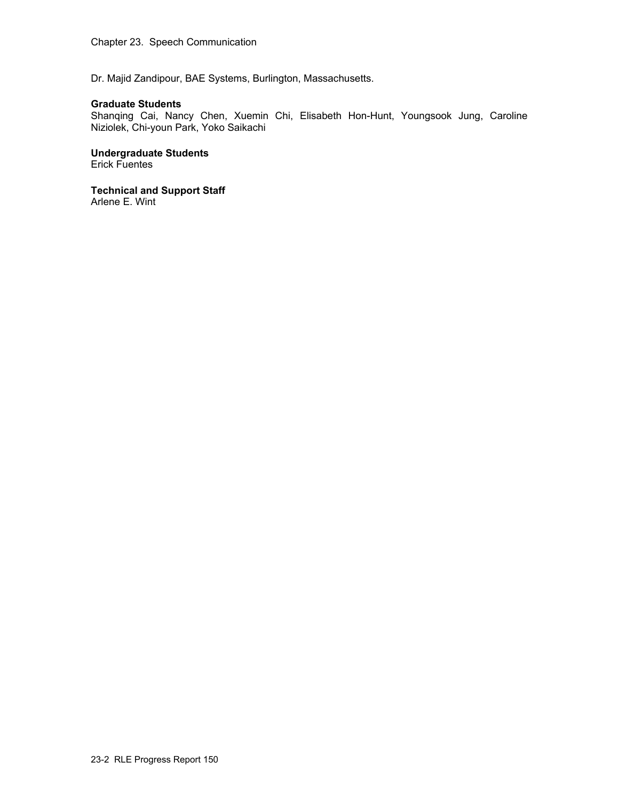Dr. Majid Zandipour, BAE Systems, Burlington, Massachusetts.

### **Graduate Students**

Shanqing Cai, Nancy Chen, Xuemin Chi, Elisabeth Hon-Hunt, Youngsook Jung, Caroline Niziolek, Chi-youn Park, Yoko Saikachi

**Undergraduate Students**  Erick Fuentes

**Technical and Support Staff**  Arlene E. Wint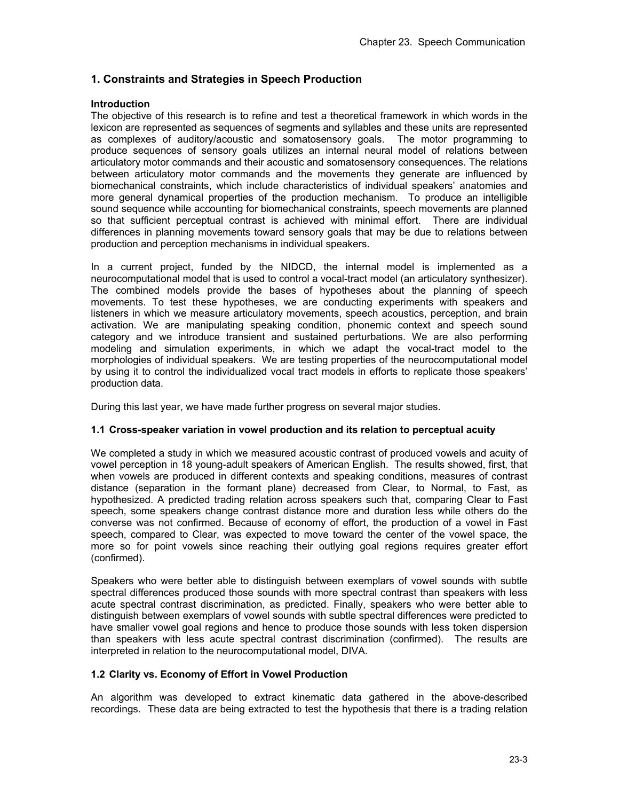# **1. Constraints and Strategies in Speech Production**

### **Introduction**

The objective of this research is to refine and test a theoretical framework in which words in the lexicon are represented as sequences of segments and syllables and these units are represented as complexes of auditory/acoustic and somatosensory goals. The motor programming to produce sequences of sensory goals utilizes an internal neural model of relations between articulatory motor commands and their acoustic and somatosensory consequences. The relations between articulatory motor commands and the movements they generate are influenced by biomechanical constraints, which include characteristics of individual speakers' anatomies and more general dynamical properties of the production mechanism. To produce an intelligible sound sequence while accounting for biomechanical constraints, speech movements are planned so that sufficient perceptual contrast is achieved with minimal effort. There are individual differences in planning movements toward sensory goals that may be due to relations between production and perception mechanisms in individual speakers.

In a current project, funded by the NIDCD, the internal model is implemented as a neurocomputational model that is used to control a vocal-tract model (an articulatory synthesizer). The combined models provide the bases of hypotheses about the planning of speech movements. To test these hypotheses, we are conducting experiments with speakers and listeners in which we measure articulatory movements, speech acoustics, perception, and brain activation. We are manipulating speaking condition, phonemic context and speech sound category and we introduce transient and sustained perturbations. We are also performing modeling and simulation experiments, in which we adapt the vocal-tract model to the morphologies of individual speakers. We are testing properties of the neurocomputational model by using it to control the individualized vocal tract models in efforts to replicate those speakers' production data.

During this last year, we have made further progress on several major studies.

### **1.1 Cross-speaker variation in vowel production and its relation to perceptual acuity**

We completed a study in which we measured acoustic contrast of produced vowels and acuity of vowel perception in 18 young-adult speakers of American English. The results showed, first, that when vowels are produced in different contexts and speaking conditions, measures of contrast distance (separation in the formant plane) decreased from Clear, to Normal, to Fast, as hypothesized. A predicted trading relation across speakers such that, comparing Clear to Fast speech, some speakers change contrast distance more and duration less while others do the converse was not confirmed. Because of economy of effort, the production of a vowel in Fast speech, compared to Clear, was expected to move toward the center of the vowel space, the more so for point vowels since reaching their outlying goal regions requires greater effort (confirmed).

Speakers who were better able to distinguish between exemplars of vowel sounds with subtle spectral differences produced those sounds with more spectral contrast than speakers with less acute spectral contrast discrimination, as predicted. Finally, speakers who were better able to distinguish between exemplars of vowel sounds with subtle spectral differences were predicted to have smaller vowel goal regions and hence to produce those sounds with less token dispersion than speakers with less acute spectral contrast discrimination (confirmed). The results are interpreted in relation to the neurocomputational model, DIVA.

# **1.2 Clarity vs. Economy of Effort in Vowel Production**

An algorithm was developed to extract kinematic data gathered in the above-described recordings. These data are being extracted to test the hypothesis that there is a trading relation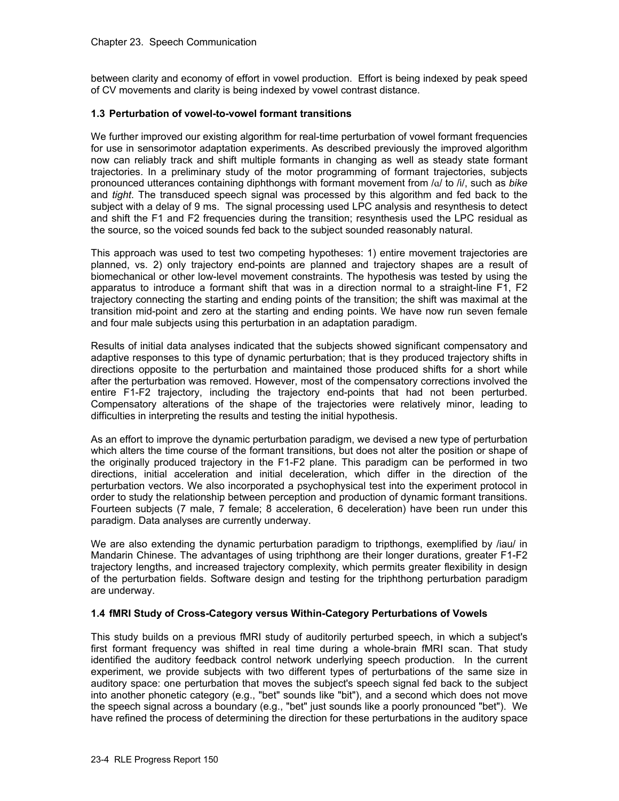between clarity and economy of effort in vowel production. Effort is being indexed by peak speed of CV movements and clarity is being indexed by vowel contrast distance.

# **1.3 Perturbation of vowel-to-vowel formant transitions**

We further improved our existing algorithm for real-time perturbation of vowel formant frequencies for use in sensorimotor adaptation experiments. As described previously the improved algorithm now can reliably track and shift multiple formants in changing as well as steady state formant trajectories. In a preliminary study of the motor programming of formant trajectories, subjects pronounced utterances containing diphthongs with formant movement from /ɑ/ to /i/, such as *bike* and *tight*. The transduced speech signal was processed by this algorithm and fed back to the subject with a delay of 9 ms. The signal processing used LPC analysis and resynthesis to detect and shift the F1 and F2 frequencies during the transition; resynthesis used the LPC residual as the source, so the voiced sounds fed back to the subject sounded reasonably natural.

This approach was used to test two competing hypotheses: 1) entire movement trajectories are planned, vs. 2) only trajectory end-points are planned and trajectory shapes are a result of biomechanical or other low-level movement constraints. The hypothesis was tested by using the apparatus to introduce a formant shift that was in a direction normal to a straight-line F1, F2 trajectory connecting the starting and ending points of the transition; the shift was maximal at the transition mid-point and zero at the starting and ending points. We have now run seven female and four male subjects using this perturbation in an adaptation paradigm.

Results of initial data analyses indicated that the subjects showed significant compensatory and adaptive responses to this type of dynamic perturbation; that is they produced trajectory shifts in directions opposite to the perturbation and maintained those produced shifts for a short while after the perturbation was removed. However, most of the compensatory corrections involved the entire F1-F2 trajectory, including the trajectory end-points that had not been perturbed. Compensatory alterations of the shape of the trajectories were relatively minor, leading to difficulties in interpreting the results and testing the initial hypothesis.

As an effort to improve the dynamic perturbation paradigm, we devised a new type of perturbation which alters the time course of the formant transitions, but does not alter the position or shape of the originally produced trajectory in the F1-F2 plane. This paradigm can be performed in two directions, initial acceleration and initial deceleration, which differ in the direction of the perturbation vectors. We also incorporated a psychophysical test into the experiment protocol in order to study the relationship between perception and production of dynamic formant transitions. Fourteen subjects (7 male, 7 female; 8 acceleration, 6 deceleration) have been run under this paradigm. Data analyses are currently underway.

We are also extending the dynamic perturbation paradigm to tripthongs, exemplified by /iau/ in Mandarin Chinese. The advantages of using triphthong are their longer durations, greater F1-F2 trajectory lengths, and increased trajectory complexity, which permits greater flexibility in design of the perturbation fields. Software design and testing for the triphthong perturbation paradigm are underway.

### **1.4 fMRI Study of Cross-Category versus Within-Category Perturbations of Vowels**

This study builds on a previous fMRI study of auditorily perturbed speech, in which a subject's first formant frequency was shifted in real time during a whole-brain fMRI scan. That study identified the auditory feedback control network underlying speech production. In the current experiment, we provide subjects with two different types of perturbations of the same size in auditory space: one perturbation that moves the subject's speech signal fed back to the subject into another phonetic category (e.g., "bet" sounds like "bit"), and a second which does not move the speech signal across a boundary (e.g., "bet" just sounds like a poorly pronounced "bet"). We have refined the process of determining the direction for these perturbations in the auditory space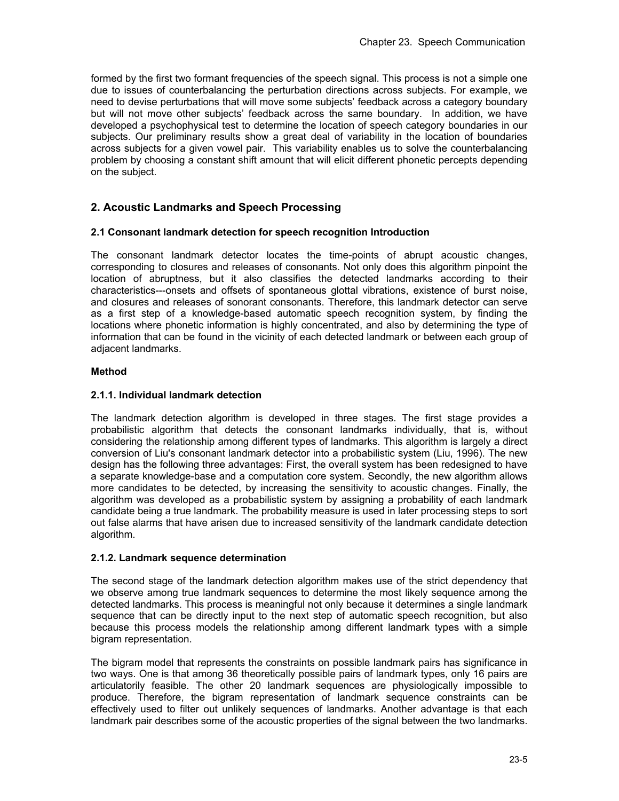formed by the first two formant frequencies of the speech signal. This process is not a simple one due to issues of counterbalancing the perturbation directions across subjects. For example, we need to devise perturbations that will move some subjects' feedback across a category boundary but will not move other subjects' feedback across the same boundary. In addition, we have developed a psychophysical test to determine the location of speech category boundaries in our subjects. Our preliminary results show a great deal of variability in the location of boundaries across subjects for a given vowel pair. This variability enables us to solve the counterbalancing problem by choosing a constant shift amount that will elicit different phonetic percepts depending on the subject.

# **2. Acoustic Landmarks and Speech Processing**

## **2.1 Consonant landmark detection for speech recognition Introduction**

The consonant landmark detector locates the time-points of abrupt acoustic changes, corresponding to closures and releases of consonants. Not only does this algorithm pinpoint the location of abruptness, but it also classifies the detected landmarks according to their characteristics---onsets and offsets of spontaneous glottal vibrations, existence of burst noise, and closures and releases of sonorant consonants. Therefore, this landmark detector can serve as a first step of a knowledge-based automatic speech recognition system, by finding the locations where phonetic information is highly concentrated, and also by determining the type of information that can be found in the vicinity of each detected landmark or between each group of adjacent landmarks.

### **Method**

## **2.1.1. Individual landmark detection**

The landmark detection algorithm is developed in three stages. The first stage provides a probabilistic algorithm that detects the consonant landmarks individually, that is, without considering the relationship among different types of landmarks. This algorithm is largely a direct conversion of Liu's consonant landmark detector into a probabilistic system (Liu, 1996). The new design has the following three advantages: First, the overall system has been redesigned to have a separate knowledge-base and a computation core system. Secondly, the new algorithm allows more candidates to be detected, by increasing the sensitivity to acoustic changes. Finally, the algorithm was developed as a probabilistic system by assigning a probability of each landmark candidate being a true landmark. The probability measure is used in later processing steps to sort out false alarms that have arisen due to increased sensitivity of the landmark candidate detection algorithm.

### **2.1.2. Landmark sequence determination**

The second stage of the landmark detection algorithm makes use of the strict dependency that we observe among true landmark sequences to determine the most likely sequence among the detected landmarks. This process is meaningful not only because it determines a single landmark sequence that can be directly input to the next step of automatic speech recognition, but also because this process models the relationship among different landmark types with a simple bigram representation.

The bigram model that represents the constraints on possible landmark pairs has significance in two ways. One is that among 36 theoretically possible pairs of landmark types, only 16 pairs are articulatorily feasible. The other 20 landmark sequences are physiologically impossible to produce. Therefore, the bigram representation of landmark sequence constraints can be effectively used to filter out unlikely sequences of landmarks. Another advantage is that each landmark pair describes some of the acoustic properties of the signal between the two landmarks.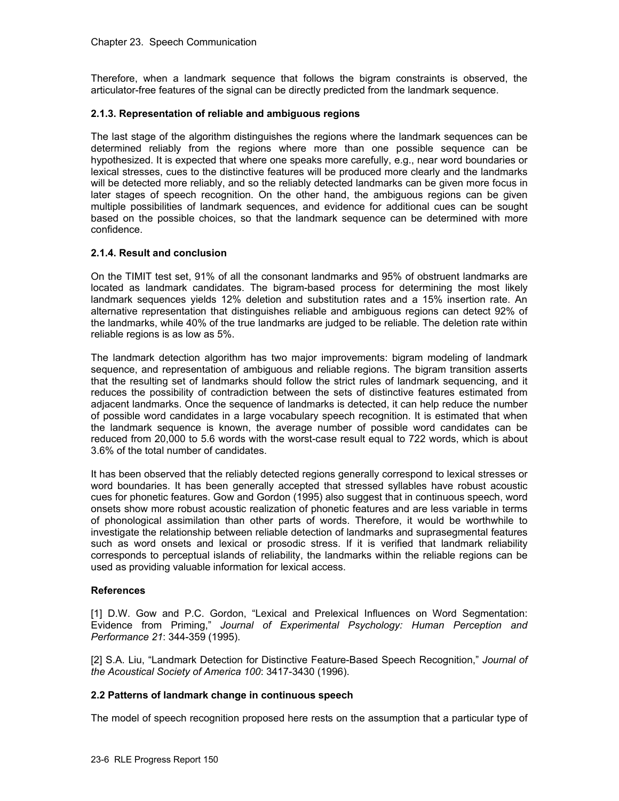Therefore, when a landmark sequence that follows the bigram constraints is observed, the articulator-free features of the signal can be directly predicted from the landmark sequence.

### **2.1.3. Representation of reliable and ambiguous regions**

The last stage of the algorithm distinguishes the regions where the landmark sequences can be determined reliably from the regions where more than one possible sequence can be hypothesized. It is expected that where one speaks more carefully, e.g., near word boundaries or lexical stresses, cues to the distinctive features will be produced more clearly and the landmarks will be detected more reliably, and so the reliably detected landmarks can be given more focus in later stages of speech recognition. On the other hand, the ambiguous regions can be given multiple possibilities of landmark sequences, and evidence for additional cues can be sought based on the possible choices, so that the landmark sequence can be determined with more confidence.

## **2.1.4. Result and conclusion**

On the TIMIT test set, 91% of all the consonant landmarks and 95% of obstruent landmarks are located as landmark candidates. The bigram-based process for determining the most likely landmark sequences yields 12% deletion and substitution rates and a 15% insertion rate. An alternative representation that distinguishes reliable and ambiguous regions can detect 92% of the landmarks, while 40% of the true landmarks are judged to be reliable. The deletion rate within reliable regions is as low as 5%.

The landmark detection algorithm has two major improvements: bigram modeling of landmark sequence, and representation of ambiguous and reliable regions. The bigram transition asserts that the resulting set of landmarks should follow the strict rules of landmark sequencing, and it reduces the possibility of contradiction between the sets of distinctive features estimated from adjacent landmarks. Once the sequence of landmarks is detected, it can help reduce the number of possible word candidates in a large vocabulary speech recognition. It is estimated that when the landmark sequence is known, the average number of possible word candidates can be reduced from 20,000 to 5.6 words with the worst-case result equal to 722 words, which is about 3.6% of the total number of candidates.

It has been observed that the reliably detected regions generally correspond to lexical stresses or word boundaries. It has been generally accepted that stressed syllables have robust acoustic cues for phonetic features. Gow and Gordon (1995) also suggest that in continuous speech, word onsets show more robust acoustic realization of phonetic features and are less variable in terms of phonological assimilation than other parts of words. Therefore, it would be worthwhile to investigate the relationship between reliable detection of landmarks and suprasegmental features such as word onsets and lexical or prosodic stress. If it is verified that landmark reliability corresponds to perceptual islands of reliability, the landmarks within the reliable regions can be used as providing valuable information for lexical access.

### **References**

[1] D.W. Gow and P.C. Gordon, "Lexical and Prelexical Influences on Word Segmentation: Evidence from Priming," *Journal of Experimental Psychology: Human Perception and Performance 21*: 344-359 (1995).

[2] S.A. Liu, "Landmark Detection for Distinctive Feature-Based Speech Recognition," *Journal of the Acoustical Society of America 100*: 3417-3430 (1996).

### **2.2 Patterns of landmark change in continuous speech**

The model of speech recognition proposed here rests on the assumption that a particular type of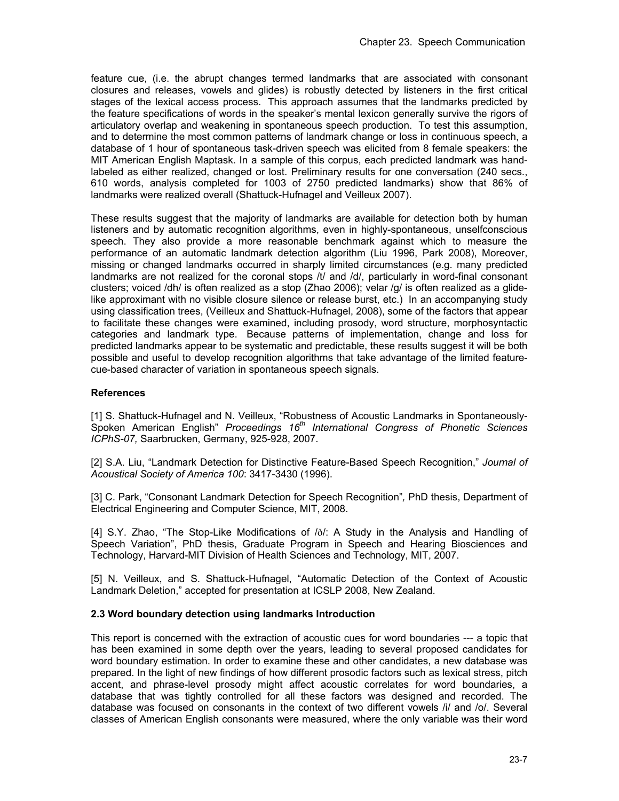feature cue, (i.e. the abrupt changes termed landmarks that are associated with consonant closures and releases, vowels and glides) is robustly detected by listeners in the first critical stages of the lexical access process. This approach assumes that the landmarks predicted by the feature specifications of words in the speaker's mental lexicon generally survive the rigors of articulatory overlap and weakening in spontaneous speech production. To test this assumption, and to determine the most common patterns of landmark change or loss in continuous speech, a database of 1 hour of spontaneous task-driven speech was elicited from 8 female speakers: the MIT American English Maptask. In a sample of this corpus, each predicted landmark was handlabeled as either realized, changed or lost. Preliminary results for one conversation (240 secs., 610 words, analysis completed for 1003 of 2750 predicted landmarks) show that 86% of landmarks were realized overall (Shattuck-Hufnagel and Veilleux 2007).

These results suggest that the majority of landmarks are available for detection both by human listeners and by automatic recognition algorithms, even in highly-spontaneous, unselfconscious speech. They also provide a more reasonable benchmark against which to measure the performance of an automatic landmark detection algorithm (Liu 1996, Park 2008), Moreover, missing or changed landmarks occurred in sharply limited circumstances (e.g. many predicted landmarks are not realized for the coronal stops /t/ and /d/, particularly in word-final consonant clusters; voiced /dh/ is often realized as a stop (Zhao 2006); velar /g/ is often realized as a glidelike approximant with no visible closure silence or release burst, etc.) In an accompanying study using classification trees, (Veilleux and Shattuck-Hufnagel, 2008), some of the factors that appear to facilitate these changes were examined, including prosody, word structure, morphosyntactic categories and landmark type. Because patterns of implementation, change and loss for predicted landmarks appear to be systematic and predictable, these results suggest it will be both possible and useful to develop recognition algorithms that take advantage of the limited featurecue-based character of variation in spontaneous speech signals.

# **References**

[1] S. Shattuck-Hufnagel and N. Veilleux, "Robustness of Acoustic Landmarks in Spontaneously-Spoken American English" *Proceedings 16th International Congress of Phonetic Sciences ICPhS-07,* Saarbrucken, Germany, 925-928, 2007.

[2] S.A. Liu, "Landmark Detection for Distinctive Feature-Based Speech Recognition," *Journal of Acoustical Society of America 100*: 3417-3430 (1996).

[3] C. Park, "Consonant Landmark Detection for Speech Recognition"*,* PhD thesis, Department of Electrical Engineering and Computer Science, MIT, 2008.

[4] S.Y. Zhao, "The Stop-Like Modifications of /ð/: A Study in the Analysis and Handling of Speech Variation", PhD thesis, Graduate Program in Speech and Hearing Biosciences and Technology, Harvard-MIT Division of Health Sciences and Technology, MIT, 2007.

[5] N. Veilleux, and S. Shattuck-Hufnagel, "Automatic Detection of the Context of Acoustic Landmark Deletion," accepted for presentation at ICSLP 2008, New Zealand.

### **2.3 Word boundary detection using landmarks Introduction**

This report is concerned with the extraction of acoustic cues for word boundaries --- a topic that has been examined in some depth over the years, leading to several proposed candidates for word boundary estimation. In order to examine these and other candidates, a new database was prepared. In the light of new findings of how different prosodic factors such as lexical stress, pitch accent, and phrase-level prosody might affect acoustic correlates for word boundaries, a database that was tightly controlled for all these factors was designed and recorded. The database was focused on consonants in the context of two different vowels /i/ and /o/. Several classes of American English consonants were measured, where the only variable was their word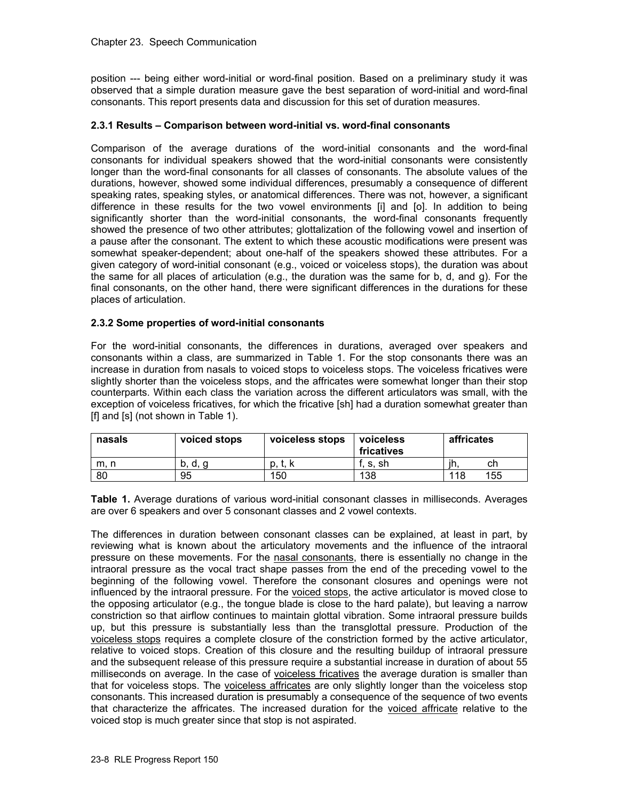position --- being either word-initial or word-final position. Based on a preliminary study it was observed that a simple duration measure gave the best separation of word-initial and word-final consonants. This report presents data and discussion for this set of duration measures.

# **2.3.1 Results – Comparison between word-initial vs. word-final consonants**

Comparison of the average durations of the word-initial consonants and the word-final consonants for individual speakers showed that the word-initial consonants were consistently longer than the word-final consonants for all classes of consonants. The absolute values of the durations, however, showed some individual differences, presumably a consequence of different speaking rates, speaking styles, or anatomical differences. There was not, however, a significant difference in these results for the two vowel environments [i] and [o]. In addition to being significantly shorter than the word-initial consonants, the word-final consonants frequently showed the presence of two other attributes; glottalization of the following vowel and insertion of a pause after the consonant. The extent to which these acoustic modifications were present was somewhat speaker-dependent; about one-half of the speakers showed these attributes. For a given category of word-initial consonant (e.g., voiced or voiceless stops), the duration was about the same for all places of articulation (e.g., the duration was the same for b, d, and g). For the final consonants, on the other hand, there were significant differences in the durations for these places of articulation.

## **2.3.2 Some properties of word-initial consonants**

For the word-initial consonants, the differences in durations, averaged over speakers and consonants within a class, are summarized in Table 1. For the stop consonants there was an increase in duration from nasals to voiced stops to voiceless stops. The voiceless fricatives were slightly shorter than the voiceless stops, and the affricates were somewhat longer than their stop counterparts. Within each class the variation across the different articulators was small, with the exception of voiceless fricatives, for which the fricative [sh] had a duration somewhat greater than [f] and [s] (not shown in Table 1).

| nasals | voiced stops | voiceless stops | voiceless<br>fricatives | affricates |
|--------|--------------|-----------------|-------------------------|------------|
| m, n   | d, q<br>0.   | p. t. k         | f. s. sh                | ıh.<br>ch  |
| 80     | 95           | 150             | 138                     | 155<br>118 |

**Table 1.** Average durations of various word-initial consonant classes in milliseconds. Averages are over 6 speakers and over 5 consonant classes and 2 vowel contexts.

The differences in duration between consonant classes can be explained, at least in part, by reviewing what is known about the articulatory movements and the influence of the intraoral pressure on these movements. For the nasal consonants, there is essentially no change in the intraoral pressure as the vocal tract shape passes from the end of the preceding vowel to the beginning of the following vowel. Therefore the consonant closures and openings were not influenced by the intraoral pressure. For the voiced stops, the active articulator is moved close to the opposing articulator (e.g., the tongue blade is close to the hard palate), but leaving a narrow constriction so that airflow continues to maintain glottal vibration. Some intraoral pressure builds up, but this pressure is substantially less than the transglottal pressure. Production of the voiceless stops requires a complete closure of the constriction formed by the active articulator, relative to voiced stops. Creation of this closure and the resulting buildup of intraoral pressure and the subsequent release of this pressure require a substantial increase in duration of about 55 milliseconds on average. In the case of voiceless fricatives the average duration is smaller than that for voiceless stops. The voiceless affricates are only slightly longer than the voiceless stop consonants. This increased duration is presumably a consequence of the sequence of two events that characterize the affricates. The increased duration for the voiced affricate relative to the voiced stop is much greater since that stop is not aspirated.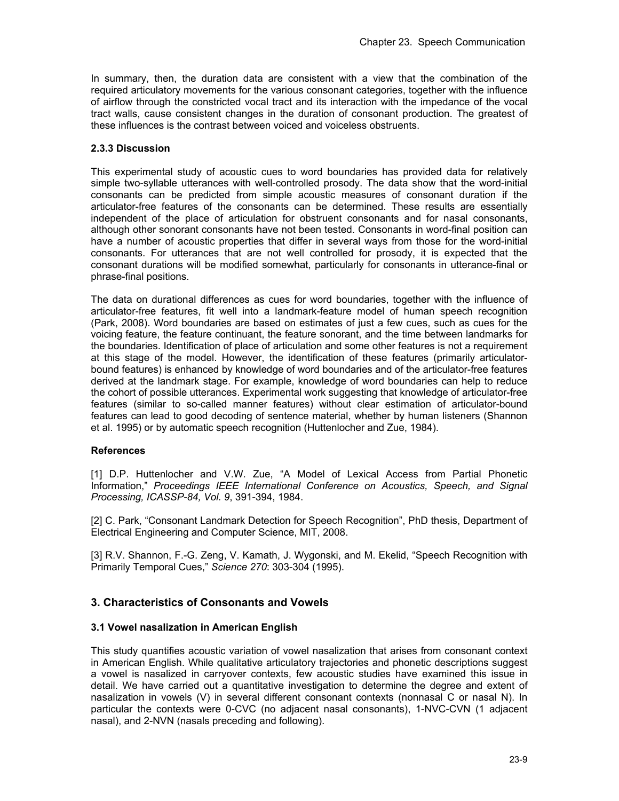In summary, then, the duration data are consistent with a view that the combination of the required articulatory movements for the various consonant categories, together with the influence of airflow through the constricted vocal tract and its interaction with the impedance of the vocal tract walls, cause consistent changes in the duration of consonant production. The greatest of these influences is the contrast between voiced and voiceless obstruents.

## **2.3.3 Discussion**

This experimental study of acoustic cues to word boundaries has provided data for relatively simple two-syllable utterances with well-controlled prosody. The data show that the word-initial consonants can be predicted from simple acoustic measures of consonant duration if the articulator-free features of the consonants can be determined. These results are essentially independent of the place of articulation for obstruent consonants and for nasal consonants, although other sonorant consonants have not been tested. Consonants in word-final position can have a number of acoustic properties that differ in several ways from those for the word-initial consonants. For utterances that are not well controlled for prosody, it is expected that the consonant durations will be modified somewhat, particularly for consonants in utterance-final or phrase-final positions.

The data on durational differences as cues for word boundaries, together with the influence of articulator-free features, fit well into a landmark-feature model of human speech recognition (Park, 2008). Word boundaries are based on estimates of just a few cues, such as cues for the voicing feature, the feature continuant, the feature sonorant, and the time between landmarks for the boundaries. Identification of place of articulation and some other features is not a requirement at this stage of the model. However, the identification of these features (primarily articulatorbound features) is enhanced by knowledge of word boundaries and of the articulator-free features derived at the landmark stage. For example, knowledge of word boundaries can help to reduce the cohort of possible utterances. Experimental work suggesting that knowledge of articulator-free features (similar to so-called manner features) without clear estimation of articulator-bound features can lead to good decoding of sentence material, whether by human listeners (Shannon et al. 1995) or by automatic speech recognition (Huttenlocher and Zue, 1984).

### **References**

[1] D.P. Huttenlocher and V.W. Zue, "A Model of Lexical Access from Partial Phonetic Information," *Proceedings IEEE International Conference on Acoustics, Speech, and Signal Processing, ICASSP-84, Vol. 9*, 391-394, 1984.

[2] C. Park, "Consonant Landmark Detection for Speech Recognition", PhD thesis, Department of Electrical Engineering and Computer Science, MIT, 2008.

[3] R.V. Shannon, F.-G. Zeng, V. Kamath, J. Wygonski, and M. Ekelid, "Speech Recognition with Primarily Temporal Cues," *Science 270*: 303-304 (1995).

# **3. Characteristics of Consonants and Vowels**

### **3.1 Vowel nasalization in American English**

This study quantifies acoustic variation of vowel nasalization that arises from consonant context in American English. While qualitative articulatory trajectories and phonetic descriptions suggest a vowel is nasalized in carryover contexts, few acoustic studies have examined this issue in detail. We have carried out a quantitative investigation to determine the degree and extent of nasalization in vowels (V) in several different consonant contexts (nonnasal C or nasal N). In particular the contexts were 0-CVC (no adjacent nasal consonants), 1-NVC-CVN (1 adjacent nasal), and 2-NVN (nasals preceding and following).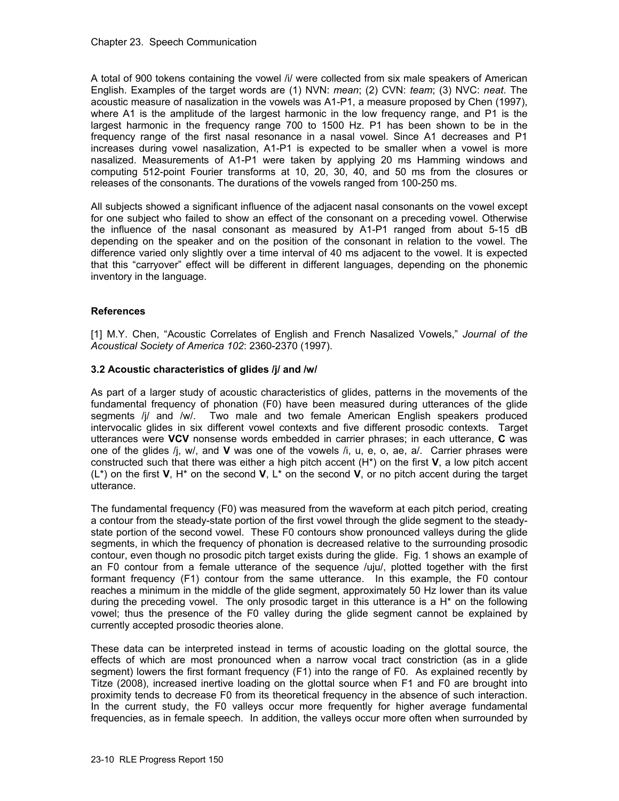A total of 900 tokens containing the vowel /i/ were collected from six male speakers of American English. Examples of the target words are (1) NVN: *mean*; (2) CVN: *team*; (3) NVC: *neat*. The acoustic measure of nasalization in the vowels was A1-P1, a measure proposed by Chen (1997), where A1 is the amplitude of the largest harmonic in the low frequency range, and P1 is the largest harmonic in the frequency range 700 to 1500 Hz. P1 has been shown to be in the frequency range of the first nasal resonance in a nasal vowel. Since A1 decreases and P1 increases during vowel nasalization, A1-P1 is expected to be smaller when a vowel is more nasalized. Measurements of A1-P1 were taken by applying 20 ms Hamming windows and computing 512-point Fourier transforms at 10, 20, 30, 40, and 50 ms from the closures or releases of the consonants. The durations of the vowels ranged from 100-250 ms.

All subjects showed a significant influence of the adjacent nasal consonants on the vowel except for one subject who failed to show an effect of the consonant on a preceding vowel. Otherwise the influence of the nasal consonant as measured by A1-P1 ranged from about 5-15 dB depending on the speaker and on the position of the consonant in relation to the vowel. The difference varied only slightly over a time interval of 40 ms adjacent to the vowel. It is expected that this "carryover" effect will be different in different languages, depending on the phonemic inventory in the language.

# **References**

[1] M.Y. Chen, "Acoustic Correlates of English and French Nasalized Vowels," *Journal of the Acoustical Society of America 102*: 2360-2370 (1997).

# **3.2 Acoustic characteristics of glides /j/ and /w/**

As part of a larger study of acoustic characteristics of glides, patterns in the movements of the fundamental frequency of phonation (F0) have been measured during utterances of the glide segments /j/ and /w/. Two male and two female American English speakers produced intervocalic glides in six different vowel contexts and five different prosodic contexts. Target utterances were **VCV** nonsense words embedded in carrier phrases; in each utterance, **C** was one of the glides /j, w/, and **V** was one of the vowels /i, u, e, o, ae, a/. Carrier phrases were constructed such that there was either a high pitch accent (H\*) on the first **V**, a low pitch accent (L\*) on the first **V**, H\* on the second **V**, L\* on the second **V**, or no pitch accent during the target utterance.

The fundamental frequency (F0) was measured from the waveform at each pitch period, creating a contour from the steady-state portion of the first vowel through the glide segment to the steadystate portion of the second vowel. These F0 contours show pronounced valleys during the glide segments, in which the frequency of phonation is decreased relative to the surrounding prosodic contour, even though no prosodic pitch target exists during the glide. Fig. 1 shows an example of an F0 contour from a female utterance of the sequence /uju/, plotted together with the first formant frequency (F1) contour from the same utterance. In this example, the F0 contour reaches a minimum in the middle of the glide segment, approximately 50 Hz lower than its value during the preceding vowel. The only prosodic target in this utterance is a  $H<sup>*</sup>$  on the following vowel; thus the presence of the F0 valley during the glide segment cannot be explained by currently accepted prosodic theories alone.

These data can be interpreted instead in terms of acoustic loading on the glottal source, the effects of which are most pronounced when a narrow vocal tract constriction (as in a glide segment) lowers the first formant frequency (F1) into the range of F0. As explained recently by Titze (2008), increased inertive loading on the glottal source when F1 and F0 are brought into proximity tends to decrease F0 from its theoretical frequency in the absence of such interaction. In the current study, the F0 valleys occur more frequently for higher average fundamental frequencies, as in female speech. In addition, the valleys occur more often when surrounded by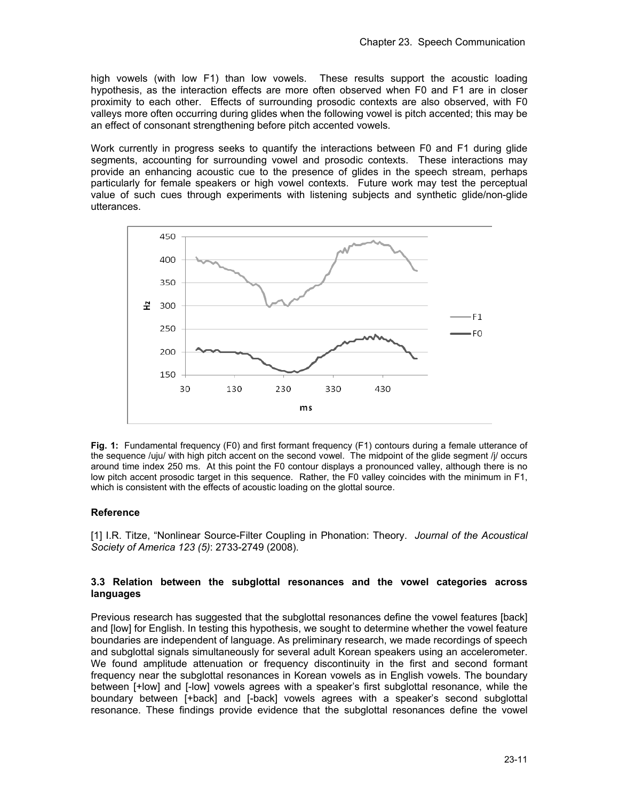high vowels (with low F1) than low vowels. These results support the acoustic loading hypothesis, as the interaction effects are more often observed when F0 and F1 are in closer proximity to each other. Effects of surrounding prosodic contexts are also observed, with F0 valleys more often occurring during glides when the following vowel is pitch accented; this may be an effect of consonant strengthening before pitch accented vowels.

Work currently in progress seeks to quantify the interactions between F0 and F1 during glide segments, accounting for surrounding vowel and prosodic contexts. These interactions may provide an enhancing acoustic cue to the presence of glides in the speech stream, perhaps particularly for female speakers or high vowel contexts. Future work may test the perceptual value of such cues through experiments with listening subjects and synthetic glide/non-glide utterances.



**Fig. 1:** Fundamental frequency (F0) and first formant frequency (F1) contours during a female utterance of the sequence /uju/ with high pitch accent on the second vowel. The midpoint of the glide segment /j/ occurs around time index 250 ms. At this point the F0 contour displays a pronounced valley, although there is no low pitch accent prosodic target in this sequence. Rather, the F0 valley coincides with the minimum in F1, which is consistent with the effects of acoustic loading on the glottal source.

### **Reference**

[1] I.R. Titze, "Nonlinear Source-Filter Coupling in Phonation: Theory. *Journal of the Acoustical Society of America 123 (5)*: 2733-2749 (2008).

## **3.3 Relation between the subglottal resonances and the vowel categories across languages**

Previous research has suggested that the subglottal resonances define the vowel features [back] and [low] for English. In testing this hypothesis, we sought to determine whether the vowel feature boundaries are independent of language. As preliminary research, we made recordings of speech and subglottal signals simultaneously for several adult Korean speakers using an accelerometer. We found amplitude attenuation or frequency discontinuity in the first and second formant frequency near the subglottal resonances in Korean vowels as in English vowels. The boundary between [+low] and [-low] vowels agrees with a speaker's first subglottal resonance, while the boundary between [+back] and [-back] vowels agrees with a speaker's second subglottal resonance. These findings provide evidence that the subglottal resonances define the vowel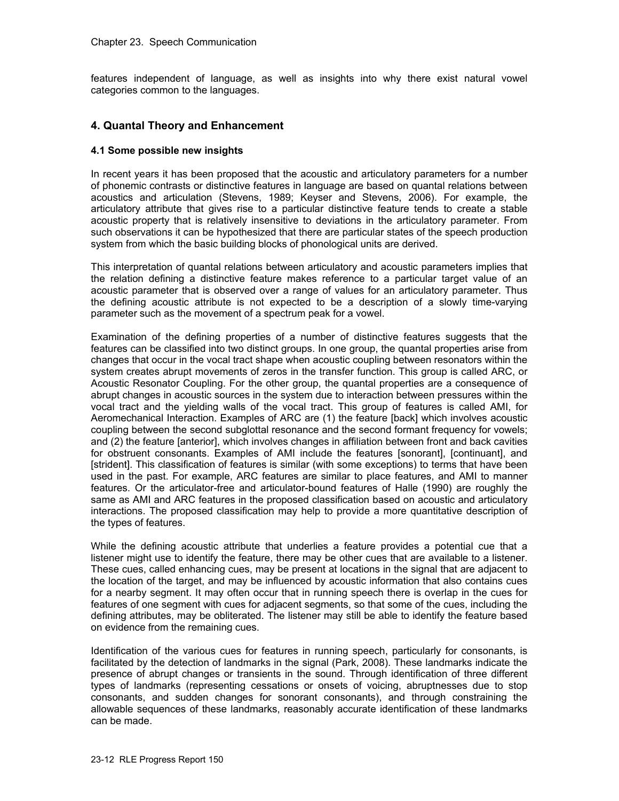features independent of language, as well as insights into why there exist natural vowel categories common to the languages.

# **4. Quantal Theory and Enhancement**

### **4.1 Some possible new insights**

In recent years it has been proposed that the acoustic and articulatory parameters for a number of phonemic contrasts or distinctive features in language are based on quantal relations between acoustics and articulation (Stevens, 1989; Keyser and Stevens, 2006). For example, the articulatory attribute that gives rise to a particular distinctive feature tends to create a stable acoustic property that is relatively insensitive to deviations in the articulatory parameter. From such observations it can be hypothesized that there are particular states of the speech production system from which the basic building blocks of phonological units are derived.

This interpretation of quantal relations between articulatory and acoustic parameters implies that the relation defining a distinctive feature makes reference to a particular target value of an acoustic parameter that is observed over a range of values for an articulatory parameter. Thus the defining acoustic attribute is not expected to be a description of a slowly time-varying parameter such as the movement of a spectrum peak for a vowel.

Examination of the defining properties of a number of distinctive features suggests that the features can be classified into two distinct groups. In one group, the quantal properties arise from changes that occur in the vocal tract shape when acoustic coupling between resonators within the system creates abrupt movements of zeros in the transfer function. This group is called ARC, or Acoustic Resonator Coupling. For the other group, the quantal properties are a consequence of abrupt changes in acoustic sources in the system due to interaction between pressures within the vocal tract and the yielding walls of the vocal tract. This group of features is called AMI, for Aeromechanical Interaction. Examples of ARC are (1) the feature [back] which involves acoustic coupling between the second subglottal resonance and the second formant frequency for vowels; and (2) the feature [anterior], which involves changes in affiliation between front and back cavities for obstruent consonants. Examples of AMI include the features [sonorant], [continuant], and [strident]. This classification of features is similar (with some exceptions) to terms that have been used in the past. For example, ARC features are similar to place features, and AMI to manner features. Or the articulator-free and articulator-bound features of Halle (1990) are roughly the same as AMI and ARC features in the proposed classification based on acoustic and articulatory interactions. The proposed classification may help to provide a more quantitative description of the types of features.

While the defining acoustic attribute that underlies a feature provides a potential cue that a listener might use to identify the feature, there may be other cues that are available to a listener. These cues, called enhancing cues, may be present at locations in the signal that are adjacent to the location of the target, and may be influenced by acoustic information that also contains cues for a nearby segment. It may often occur that in running speech there is overlap in the cues for features of one segment with cues for adjacent segments, so that some of the cues, including the defining attributes, may be obliterated. The listener may still be able to identify the feature based on evidence from the remaining cues.

Identification of the various cues for features in running speech, particularly for consonants, is facilitated by the detection of landmarks in the signal (Park, 2008). These landmarks indicate the presence of abrupt changes or transients in the sound. Through identification of three different types of landmarks (representing cessations or onsets of voicing, abruptnesses due to stop consonants, and sudden changes for sonorant consonants), and through constraining the allowable sequences of these landmarks, reasonably accurate identification of these landmarks can be made.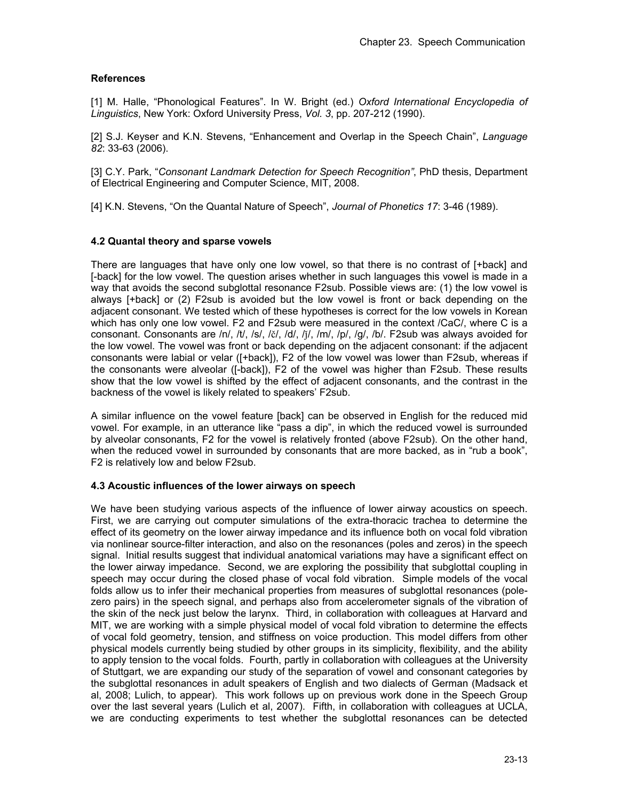# **References**

[1] M. Halle, "Phonological Features". In W. Bright (ed.) *Oxford International Encyclopedia of Linguistics*, New York: Oxford University Press, *Vol. 3*, pp. 207-212 (1990).

[2] S.J. Keyser and K.N. Stevens, "Enhancement and Overlap in the Speech Chain", *Language 82*: 33-63 (2006).

[3] C.Y. Park, "*Consonant Landmark Detection for Speech Recognition"*, PhD thesis, Department of Electrical Engineering and Computer Science, MIT, 2008.

[4] K.N. Stevens, "On the Quantal Nature of Speech", *Journal of Phonetics 17*: 3-46 (1989).

## **4.2 Quantal theory and sparse vowels**

There are languages that have only one low vowel, so that there is no contrast of [+back] and [-back] for the low vowel. The question arises whether in such languages this vowel is made in a way that avoids the second subglottal resonance F2sub. Possible views are: (1) the low vowel is always [+back] or (2) F2sub is avoided but the low vowel is front or back depending on the adjacent consonant. We tested which of these hypotheses is correct for the low vowels in Korean which has only one low vowel. F2 and F2sub were measured in the context /CaC/, where C is a consonant. Consonants are /n/, /t/, /s/, /č/, /d/, /j/, /m/, /p/, /g/, /b/. F2sub was always avoided for the low vowel. The vowel was front or back depending on the adjacent consonant: if the adjacent consonants were labial or velar ([+back]), F2 of the low vowel was lower than F2sub, whereas if the consonants were alveolar ([-back]), F2 of the vowel was higher than F2sub. These results show that the low vowel is shifted by the effect of adjacent consonants, and the contrast in the backness of the vowel is likely related to speakers' F2sub.

A similar influence on the vowel feature [back] can be observed in English for the reduced mid vowel. For example, in an utterance like "pass a dip", in which the reduced vowel is surrounded by alveolar consonants, F2 for the vowel is relatively fronted (above F2sub). On the other hand, when the reduced vowel in surrounded by consonants that are more backed, as in "rub a book", F2 is relatively low and below F2sub.

### **4.3 Acoustic influences of the lower airways on speech**

We have been studying various aspects of the influence of lower airway acoustics on speech. First, we are carrying out computer simulations of the extra-thoracic trachea to determine the effect of its geometry on the lower airway impedance and its influence both on vocal fold vibration via nonlinear source-filter interaction, and also on the resonances (poles and zeros) in the speech signal. Initial results suggest that individual anatomical variations may have a significant effect on the lower airway impedance. Second, we are exploring the possibility that subglottal coupling in speech may occur during the closed phase of vocal fold vibration. Simple models of the vocal folds allow us to infer their mechanical properties from measures of subglottal resonances (polezero pairs) in the speech signal, and perhaps also from accelerometer signals of the vibration of the skin of the neck just below the larynx. Third, in collaboration with colleagues at Harvard and MIT, we are working with a simple physical model of vocal fold vibration to determine the effects of vocal fold geometry, tension, and stiffness on voice production. This model differs from other physical models currently being studied by other groups in its simplicity, flexibility, and the ability to apply tension to the vocal folds. Fourth, partly in collaboration with colleagues at the University of Stuttgart, we are expanding our study of the separation of vowel and consonant categories by the subglottal resonances in adult speakers of English and two dialects of German (Madsack et al, 2008; Lulich, to appear). This work follows up on previous work done in the Speech Group over the last several years (Lulich et al, 2007). Fifth, in collaboration with colleagues at UCLA, we are conducting experiments to test whether the subglottal resonances can be detected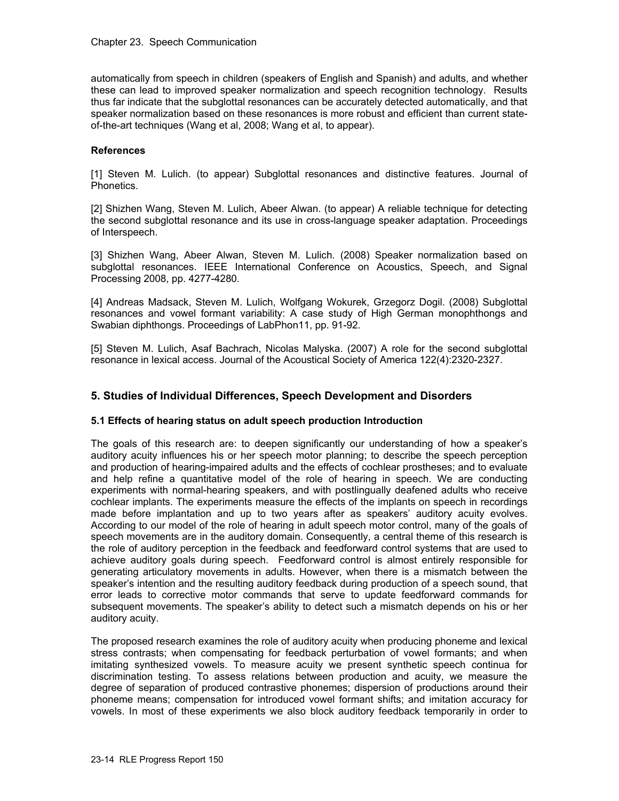automatically from speech in children (speakers of English and Spanish) and adults, and whether these can lead to improved speaker normalization and speech recognition technology. Results thus far indicate that the subglottal resonances can be accurately detected automatically, and that speaker normalization based on these resonances is more robust and efficient than current stateof-the-art techniques (Wang et al, 2008; Wang et al, to appear).

### **References**

[1] Steven M. Lulich. (to appear) Subglottal resonances and distinctive features. Journal of Phonetics.

[2] Shizhen Wang, Steven M. Lulich, Abeer Alwan. (to appear) A reliable technique for detecting the second subglottal resonance and its use in cross-language speaker adaptation. Proceedings of Interspeech.

[3] Shizhen Wang, Abeer Alwan, Steven M. Lulich. (2008) Speaker normalization based on subglottal resonances. IEEE International Conference on Acoustics, Speech, and Signal Processing 2008, pp. 4277-4280.

[4] Andreas Madsack, Steven M. Lulich, Wolfgang Wokurek, Grzegorz Dogil. (2008) Subglottal resonances and vowel formant variability: A case study of High German monophthongs and Swabian diphthongs. Proceedings of LabPhon11, pp. 91-92.

[5] Steven M. Lulich, Asaf Bachrach, Nicolas Malyska. (2007) A role for the second subglottal resonance in lexical access. Journal of the Acoustical Society of America 122(4):2320-2327.

## **5. Studies of Individual Differences, Speech Development and Disorders**

### **5.1 Effects of hearing status on adult speech production Introduction**

The goals of this research are: to deepen significantly our understanding of how a speaker's auditory acuity influences his or her speech motor planning; to describe the speech perception and production of hearing-impaired adults and the effects of cochlear prostheses; and to evaluate and help refine a quantitative model of the role of hearing in speech. We are conducting experiments with normal-hearing speakers, and with postlingually deafened adults who receive cochlear implants. The experiments measure the effects of the implants on speech in recordings made before implantation and up to two years after as speakers' auditory acuity evolves. According to our model of the role of hearing in adult speech motor control, many of the goals of speech movements are in the auditory domain. Consequently, a central theme of this research is the role of auditory perception in the feedback and feedforward control systems that are used to achieve auditory goals during speech. Feedforward control is almost entirely responsible for generating articulatory movements in adults. However, when there is a mismatch between the speaker's intention and the resulting auditory feedback during production of a speech sound, that error leads to corrective motor commands that serve to update feedforward commands for subsequent movements. The speaker's ability to detect such a mismatch depends on his or her auditory acuity.

The proposed research examines the role of auditory acuity when producing phoneme and lexical stress contrasts; when compensating for feedback perturbation of vowel formants; and when imitating synthesized vowels. To measure acuity we present synthetic speech continua for discrimination testing. To assess relations between production and acuity, we measure the degree of separation of produced contrastive phonemes; dispersion of productions around their phoneme means; compensation for introduced vowel formant shifts; and imitation accuracy for vowels. In most of these experiments we also block auditory feedback temporarily in order to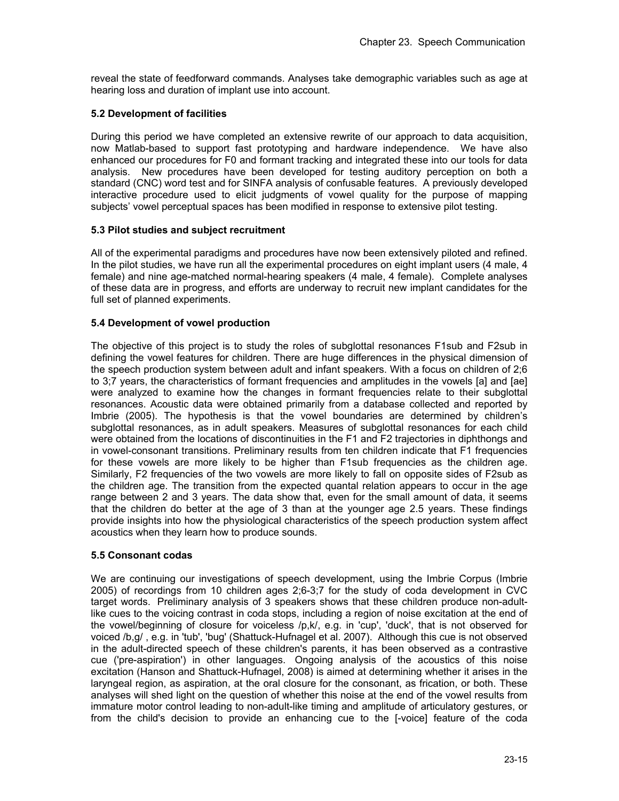reveal the state of feedforward commands. Analyses take demographic variables such as age at hearing loss and duration of implant use into account.

## **5.2 Development of facilities**

During this period we have completed an extensive rewrite of our approach to data acquisition, now Matlab-based to support fast prototyping and hardware independence. We have also enhanced our procedures for F0 and formant tracking and integrated these into our tools for data analysis. New procedures have been developed for testing auditory perception on both a standard (CNC) word test and for SINFA analysis of confusable features. A previously developed interactive procedure used to elicit judgments of vowel quality for the purpose of mapping subjects' vowel perceptual spaces has been modified in response to extensive pilot testing.

## **5.3 Pilot studies and subject recruitment**

All of the experimental paradigms and procedures have now been extensively piloted and refined. In the pilot studies, we have run all the experimental procedures on eight implant users (4 male, 4 female) and nine age-matched normal-hearing speakers (4 male, 4 female). Complete analyses of these data are in progress, and efforts are underway to recruit new implant candidates for the full set of planned experiments.

## **5.4 Development of vowel production**

The objective of this project is to study the roles of subglottal resonances F1sub and F2sub in defining the vowel features for children. There are huge differences in the physical dimension of the speech production system between adult and infant speakers. With a focus on children of 2;6 to 3;7 years, the characteristics of formant frequencies and amplitudes in the vowels [a] and [ae] were analyzed to examine how the changes in formant frequencies relate to their subglottal resonances. Acoustic data were obtained primarily from a database collected and reported by Imbrie (2005). The hypothesis is that the vowel boundaries are determined by children's subglottal resonances, as in adult speakers. Measures of subglottal resonances for each child were obtained from the locations of discontinuities in the F1 and F2 trajectories in diphthongs and in vowel-consonant transitions. Preliminary results from ten children indicate that F1 frequencies for these vowels are more likely to be higher than F1sub frequencies as the children age. Similarly, F2 frequencies of the two vowels are more likely to fall on opposite sides of F2sub as the children age. The transition from the expected quantal relation appears to occur in the age range between 2 and 3 years. The data show that, even for the small amount of data, it seems that the children do better at the age of 3 than at the younger age 2.5 years. These findings provide insights into how the physiological characteristics of the speech production system affect acoustics when they learn how to produce sounds.

### **5.5 Consonant codas**

We are continuing our investigations of speech development, using the Imbrie Corpus (Imbrie 2005) of recordings from 10 children ages 2;6-3;7 for the study of coda development in CVC target words. Preliminary analysis of 3 speakers shows that these children produce non-adultlike cues to the voicing contrast in coda stops, including a region of noise excitation at the end of the vowel/beginning of closure for voiceless /p,k/, e.g. in 'cup', 'duck', that is not observed for voiced /b,g/ , e.g. in 'tub', 'bug' (Shattuck-Hufnagel et al. 2007). Although this cue is not observed in the adult-directed speech of these children's parents, it has been observed as a contrastive cue ('pre-aspiration') in other languages. Ongoing analysis of the acoustics of this noise excitation (Hanson and Shattuck-Hufnagel, 2008) is aimed at determining whether it arises in the laryngeal region, as aspiration, at the oral closure for the consonant, as frication, or both. These analyses will shed light on the question of whether this noise at the end of the vowel results from immature motor control leading to non-adult-like timing and amplitude of articulatory gestures, or from the child's decision to provide an enhancing cue to the [-voice] feature of the coda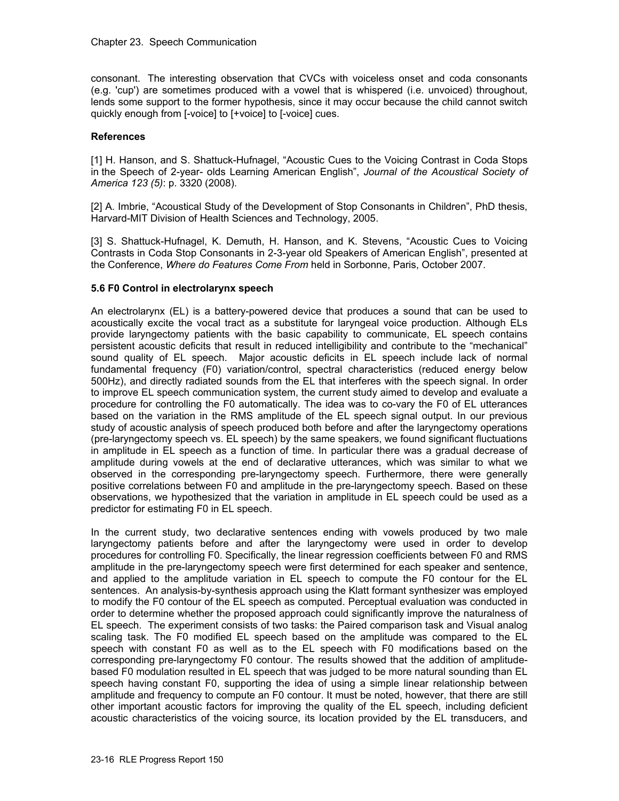consonant. The interesting observation that CVCs with voiceless onset and coda consonants (e.g. 'cup') are sometimes produced with a vowel that is whispered (i.e. unvoiced) throughout, lends some support to the former hypothesis, since it may occur because the child cannot switch quickly enough from [-voice] to [+voice] to [-voice] cues.

### **References**

[1] H. Hanson, and S. Shattuck-Hufnagel, "Acoustic Cues to the Voicing Contrast in Coda Stops in the Speech of 2-year- olds Learning American English", *Journal of the Acoustical Society of America 123 (5)*: p. 3320 (2008).

[2] A. Imbrie, "Acoustical Study of the Development of Stop Consonants in Children", PhD thesis, Harvard-MIT Division of Health Sciences and Technology, 2005.

[3] S. Shattuck-Hufnagel, K. Demuth, H. Hanson, and K. Stevens, "Acoustic Cues to Voicing Contrasts in Coda Stop Consonants in 2-3-year old Speakers of American English", presented at the Conference, *Where do Features Come From* held in Sorbonne, Paris, October 2007.

### **5.6 F0 Control in electrolarynx speech**

An electrolarynx (EL) is a battery-powered device that produces a sound that can be used to acoustically excite the vocal tract as a substitute for laryngeal voice production. Although ELs provide laryngectomy patients with the basic capability to communicate, EL speech contains persistent acoustic deficits that result in reduced intelligibility and contribute to the "mechanical" sound quality of EL speech. Major acoustic deficits in EL speech include lack of normal fundamental frequency (F0) variation/control, spectral characteristics (reduced energy below 500Hz), and directly radiated sounds from the EL that interferes with the speech signal. In order to improve EL speech communication system, the current study aimed to develop and evaluate a procedure for controlling the F0 automatically. The idea was to co-vary the F0 of EL utterances based on the variation in the RMS amplitude of the EL speech signal output. In our previous study of acoustic analysis of speech produced both before and after the laryngectomy operations (pre-laryngectomy speech vs. EL speech) by the same speakers, we found significant fluctuations in amplitude in EL speech as a function of time. In particular there was a gradual decrease of amplitude during vowels at the end of declarative utterances, which was similar to what we observed in the corresponding pre-laryngectomy speech. Furthermore, there were generally positive correlations between F0 and amplitude in the pre-laryngectomy speech. Based on these observations, we hypothesized that the variation in amplitude in EL speech could be used as a predictor for estimating F0 in EL speech.

In the current study, two declarative sentences ending with vowels produced by two male laryngectomy patients before and after the laryngectomy were used in order to develop procedures for controlling F0. Specifically, the linear regression coefficients between F0 and RMS amplitude in the pre-laryngectomy speech were first determined for each speaker and sentence, and applied to the amplitude variation in EL speech to compute the F0 contour for the EL sentences. An analysis-by-synthesis approach using the Klatt formant synthesizer was employed to modify the F0 contour of the EL speech as computed. Perceptual evaluation was conducted in order to determine whether the proposed approach could significantly improve the naturalness of EL speech. The experiment consists of two tasks: the Paired comparison task and Visual analog scaling task. The F0 modified EL speech based on the amplitude was compared to the EL speech with constant F0 as well as to the EL speech with F0 modifications based on the corresponding pre-laryngectomy F0 contour. The results showed that the addition of amplitudebased F0 modulation resulted in EL speech that was judged to be more natural sounding than EL speech having constant F0, supporting the idea of using a simple linear relationship between amplitude and frequency to compute an F0 contour. It must be noted, however, that there are still other important acoustic factors for improving the quality of the EL speech, including deficient acoustic characteristics of the voicing source, its location provided by the EL transducers, and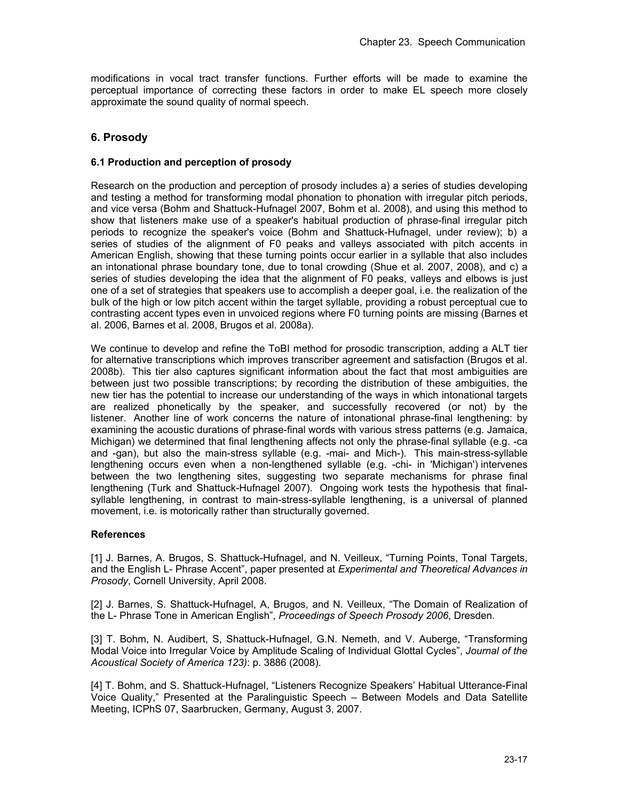modifications in vocal tract transfer functions. Further efforts will be made to examine the perceptual importance of correcting these factors in order to make EL speech more closely approximate the sound quality of normal speech.

# **6. Prosody**

## **6.1 Production and perception of prosody**

Research on the production and perception of prosody includes a) a series of studies developing and testing a method for transforming modal phonation to phonation with irregular pitch periods, and vice versa (Bohm and Shattuck-Hufnagel 2007, Bohm et al. 2008), and using this method to show that listeners make use of a speaker's habitual production of phrase-final irregular pitch periods to recognize the speaker's voice (Bohm and Shattuck-Hufnagel, under review); b) a series of studies of the alignment of F0 peaks and valleys associated with pitch accents in American English, showing that these turning points occur earlier in a syllable that also includes an intonational phrase boundary tone, due to tonal crowding (Shue et al. 2007, 2008), and c) a series of studies developing the idea that the alignment of F0 peaks, valleys and elbows is just one of a set of strategies that speakers use to accomplish a deeper goal, i.e. the realization of the bulk of the high or low pitch accent within the target syllable, providing a robust perceptual cue to contrasting accent types even in unvoiced regions where F0 turning points are missing (Barnes et al. 2006, Barnes et al. 2008, Brugos et al. 2008a).

We continue to develop and refine the ToBI method for prosodic transcription, adding a ALT tier for alternative transcriptions which improves transcriber agreement and satisfaction (Brugos et al. 2008b). This tier also captures significant information about the fact that most ambiguities are between just two possible transcriptions; by recording the distribution of these ambiguities, the new tier has the potential to increase our understanding of the ways in which intonational targets are realized phonetically by the speaker, and successfully recovered (or not) by the listener. Another line of work concerns the nature of intonational phrase-final lengthening: by examining the acoustic durations of phrase-final words with various stress patterns (e.g. Jamaica, Michigan) we determined that final lengthening affects not only the phrase-final syllable (e.g. -ca and -gan), but also the main-stress syllable (e.g. -mai- and Mich-). This main-stress-syllable lengthening occurs even when a non-lengthened syllable (e.g. -chi- in 'Michigan') intervenes between the two lengthening sites, suggesting two separate mechanisms for phrase final lengthening (Turk and Shattuck-Hufnagel 2007). Ongoing work tests the hypothesis that finalsyllable lengthening, in contrast to main-stress-syllable lengthening, is a universal of planned movement, i.e. is motorically rather than structurally governed.

### **References**

[1] J. Barnes, A. Brugos, S. Shattuck-Hufnagel, and N. Veilleux, "Turning Points, Tonal Targets, and the English L- Phrase Accent", paper presented at *Experimental and Theoretical Advances in Prosody*, Cornell University, April 2008.

[2] J. Barnes, S. Shattuck-Hufnagel, A, Brugos, and N. Veilleux, "The Domain of Realization of the L- Phrase Tone in American English", *Proceedings of Speech Prosody 2006*, Dresden.

[3] T. Bohm, N. Audibert, S. Shattuck-Hufnagel, G.N. Nemeth, and V. Auberge, "Transforming Modal Voice into Irregular Voice by Amplitude Scaling of Individual Glottal Cycles", *Journal of the Acoustical Society of America 123)*: p. 3886 (2008).

[4] T. Bohm, and S. Shattuck-Hufnagel, "Listeners Recognize Speakers' Habitual Utterance-Final Voice Quality," Presented at the Paralinguistic Speech – Between Models and Data Satellite Meeting, ICPhS 07, Saarbrucken, Germany, August 3, 2007.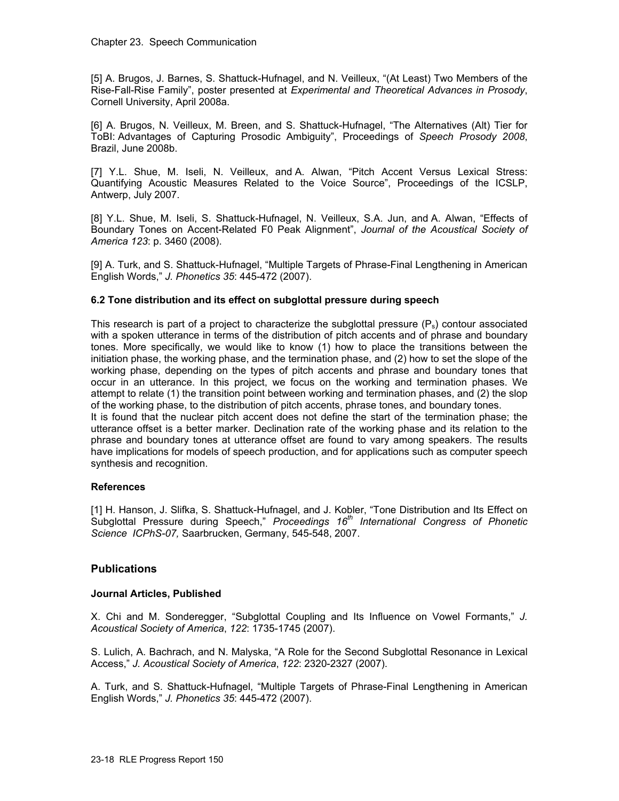[5] A. Brugos, J. Barnes, S. Shattuck-Hufnagel, and N. Veilleux, "(At Least) Two Members of the Rise-Fall-Rise Family", poster presented at *Experimental and Theoretical Advances in Prosody*, Cornell University, April 2008a.

[6] A. Brugos, N. Veilleux, M. Breen, and S. Shattuck-Hufnagel, "The Alternatives (Alt) Tier for ToBI: Advantages of Capturing Prosodic Ambiguity", Proceedings of *Speech Prosody 2008*, Brazil, June 2008b.

[7] Y.L. Shue, M. Iseli, N. Veilleux, and A. Alwan, "Pitch Accent Versus Lexical Stress: Quantifying Acoustic Measures Related to the Voice Source", Proceedings of the ICSLP, Antwerp, July 2007.

[8] Y.L. Shue, M. Iseli, S. Shattuck-Hufnagel, N. Veilleux, S.A. Jun, and A. Alwan, "Effects of Boundary Tones on Accent-Related F0 Peak Alignment", *Journal of the Acoustical Society of America 123*: p. 3460 (2008).

[9] A. Turk, and S. Shattuck-Hufnagel, "Multiple Targets of Phrase-Final Lengthening in American English Words," *J. Phonetics 35*: 445-472 (2007).

# **6.2 Tone distribution and its effect on subglottal pressure during speech**

This research is part of a project to characterize the subglottal pressure  $(P_s)$  contour associated with a spoken utterance in terms of the distribution of pitch accents and of phrase and boundary tones. More specifically, we would like to know (1) how to place the transitions between the initiation phase, the working phase, and the termination phase, and (2) how to set the slope of the working phase, depending on the types of pitch accents and phrase and boundary tones that occur in an utterance. In this project, we focus on the working and termination phases. We attempt to relate (1) the transition point between working and termination phases, and (2) the slop of the working phase, to the distribution of pitch accents, phrase tones, and boundary tones. It is found that the nuclear pitch accent does not define the start of the termination phase; the utterance offset is a better marker. Declination rate of the working phase and its relation to the phrase and boundary tones at utterance offset are found to vary among speakers. The results have implications for models of speech production, and for applications such as computer speech synthesis and recognition.

### **References**

[1] H. Hanson, J. Slifka, S. Shattuck-Hufnagel, and J. Kobler, "Tone Distribution and Its Effect on Subglottal Pressure during Speech," *Proceedings 16th International Congress of Phonetic Science ICPhS-07,* Saarbrucken, Germany, 545-548, 2007.

### **Publications**

### **Journal Articles, Published**

X. Chi and M. Sonderegger, "Subglottal Coupling and Its Influence on Vowel Formants," *J. Acoustical Society of America*, *122*: 1735-1745 (2007).

S. Lulich, A. Bachrach, and N. Malyska, "A Role for the Second Subglottal Resonance in Lexical Access," *J. Acoustical Society of America*, *122*: 2320-2327 (2007).

A. Turk, and S. Shattuck-Hufnagel, "Multiple Targets of Phrase-Final Lengthening in American English Words," *J. Phonetics 35*: 445-472 (2007).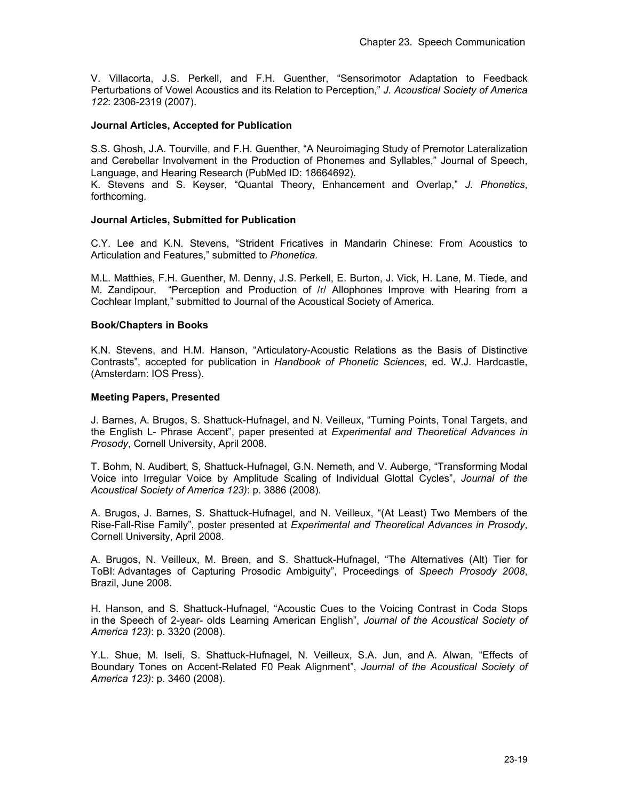V. Villacorta, J.S. Perkell, and F.H. Guenther, "Sensorimotor Adaptation to Feedback Perturbations of Vowel Acoustics and its Relation to Perception," *J. Acoustical Society of America 122*: 2306-2319 (2007).

### **Journal Articles, Accepted for Publication**

S.S. Ghosh, J.A. Tourville, and F.H. Guenther, "A Neuroimaging Study of Premotor Lateralization and Cerebellar Involvement in the Production of Phonemes and Syllables," Journal of Speech, Language, and Hearing Research (PubMed ID: 18664692).

K. Stevens and S. Keyser, "Quantal Theory, Enhancement and Overlap," *J. Phonetics*, forthcoming*.* 

### **Journal Articles, Submitted for Publication**

C.Y. Lee and K.N. Stevens, "Strident Fricatives in Mandarin Chinese: From Acoustics to Articulation and Features," submitted to *Phonetica.*

M.L. Matthies, F.H. Guenther, M. Denny, J.S. Perkell, E. Burton, J. Vick, H. Lane, M. Tiede, and M. Zandipour, "Perception and Production of /r/ Allophones Improve with Hearing from a Cochlear Implant," submitted to Journal of the Acoustical Society of America.

### **Book/Chapters in Books**

K.N. Stevens, and H.M. Hanson, "Articulatory-Acoustic Relations as the Basis of Distinctive Contrasts", accepted for publication in *Handbook of Phonetic Sciences*, ed. W.J. Hardcastle, (Amsterdam: IOS Press).

### **Meeting Papers, Presented**

J. Barnes, A. Brugos, S. Shattuck-Hufnagel, and N. Veilleux, "Turning Points, Tonal Targets, and the English L- Phrase Accent", paper presented at *Experimental and Theoretical Advances in Prosody*, Cornell University, April 2008.

T. Bohm, N. Audibert, S, Shattuck-Hufnagel, G.N. Nemeth, and V. Auberge, "Transforming Modal Voice into Irregular Voice by Amplitude Scaling of Individual Glottal Cycles", *Journal of the Acoustical Society of America 123)*: p. 3886 (2008).

A. Brugos, J. Barnes, S. Shattuck-Hufnagel, and N. Veilleux, "(At Least) Two Members of the Rise-Fall-Rise Family", poster presented at *Experimental and Theoretical Advances in Prosody*, Cornell University, April 2008.

A. Brugos, N. Veilleux, M. Breen, and S. Shattuck-Hufnagel, "The Alternatives (Alt) Tier for ToBI: Advantages of Capturing Prosodic Ambiguity", Proceedings of *Speech Prosody 2008*, Brazil, June 2008.

H. Hanson, and S. Shattuck-Hufnagel, "Acoustic Cues to the Voicing Contrast in Coda Stops in the Speech of 2-year- olds Learning American English", *Journal of the Acoustical Society of America 123)*: p. 3320 (2008).

Y.L. Shue, M. Iseli, S. Shattuck-Hufnagel, N. Veilleux, S.A. Jun, and A. Alwan, "Effects of Boundary Tones on Accent-Related F0 Peak Alignment", *Journal of the Acoustical Society of America 123)*: p. 3460 (2008).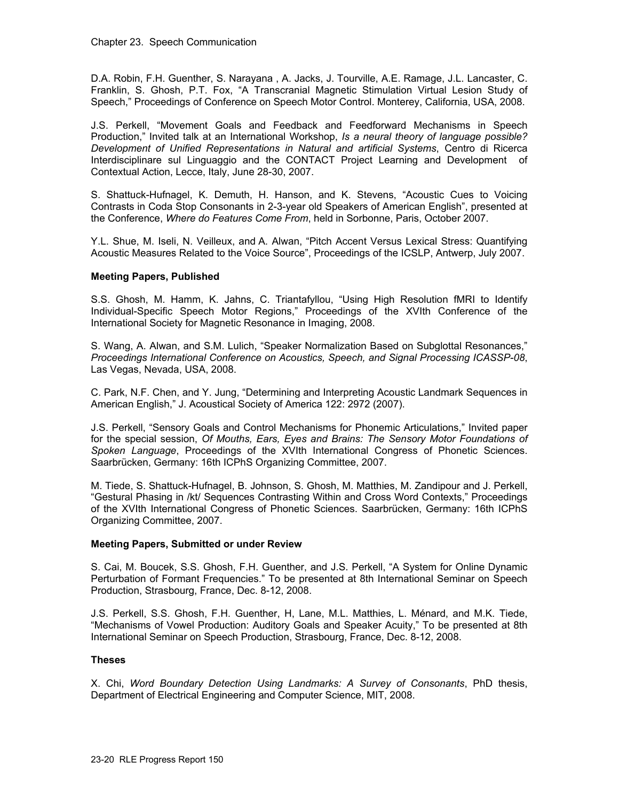D.A. Robin, F.H. Guenther, S. Narayana , A. Jacks, J. Tourville, A.E. Ramage, J.L. Lancaster, C. Franklin, S. Ghosh, P.T. Fox, "A Transcranial Magnetic Stimulation Virtual Lesion Study of Speech," Proceedings of Conference on Speech Motor Control. Monterey, California, USA, 2008.

J.S. Perkell, "Movement Goals and Feedback and Feedforward Mechanisms in Speech Production," Invited talk at an International Workshop, *Is a neural theory of language possible? Development of Unified Representations in Natural and artificial Systems*, Centro di Ricerca Interdisciplinare sul Linguaggio and the CONTACT Project Learning and Development of Contextual Action, Lecce, Italy, June 28-30, 2007.

S. Shattuck-Hufnagel, K. Demuth, H. Hanson, and K. Stevens, "Acoustic Cues to Voicing Contrasts in Coda Stop Consonants in 2-3-year old Speakers of American English", presented at the Conference, *Where do Features Come From*, held in Sorbonne, Paris, October 2007.

Y.L. Shue, M. Iseli, N. Veilleux, and A. Alwan, "Pitch Accent Versus Lexical Stress: Quantifying Acoustic Measures Related to the Voice Source", Proceedings of the ICSLP, Antwerp, July 2007.

### **Meeting Papers, Published**

S.S. Ghosh, M. Hamm, K. Jahns, C. Triantafyllou, "Using High Resolution fMRI to Identify Individual-Specific Speech Motor Regions," Proceedings of the XVIth Conference of the International Society for Magnetic Resonance in Imaging, 2008.

S. Wang, A. Alwan, and S.M. Lulich, "Speaker Normalization Based on Subglottal Resonances," *Proceedings International Conference on Acoustics, Speech, and Signal Processing ICASSP-08*, Las Vegas, Nevada, USA, 2008.

C. Park, N.F. Chen, and Y. Jung, "Determining and Interpreting Acoustic Landmark Sequences in American English," J. Acoustical Society of America 122: 2972 (2007).

J.S. Perkell, "Sensory Goals and Control Mechanisms for Phonemic Articulations," Invited paper for the special session, *Of Mouths, Ears, Eyes and Brains: The Sensory Motor Foundations of Spoken Language*, Proceedings of the XVIth International Congress of Phonetic Sciences. Saarbrücken, Germany: 16th ICPhS Organizing Committee, 2007.

M. Tiede, S. Shattuck-Hufnagel, B. Johnson, S. Ghosh, M. Matthies, M. Zandipour and J. Perkell, "Gestural Phasing in /kt/ Sequences Contrasting Within and Cross Word Contexts," Proceedings of the XVIth International Congress of Phonetic Sciences. Saarbrücken, Germany: 16th ICPhS Organizing Committee, 2007.

### **Meeting Papers, Submitted or under Review**

S. Cai, M. Boucek, S.S. Ghosh, F.H. Guenther, and J.S. Perkell, "A System for Online Dynamic Perturbation of Formant Frequencies." To be presented at 8th International Seminar on Speech Production, Strasbourg, France, Dec. 8-12, 2008.

J.S. Perkell, S.S. Ghosh, F.H. Guenther, H, Lane, M.L. Matthies, L. Ménard, and M.K. Tiede, "Mechanisms of Vowel Production: Auditory Goals and Speaker Acuity," To be presented at 8th International Seminar on Speech Production, Strasbourg, France, Dec. 8-12, 2008.

### **Theses**

X. Chi, *Word Boundary Detection Using Landmarks: A Survey of Consonants*, PhD thesis, Department of Electrical Engineering and Computer Science, MIT, 2008.